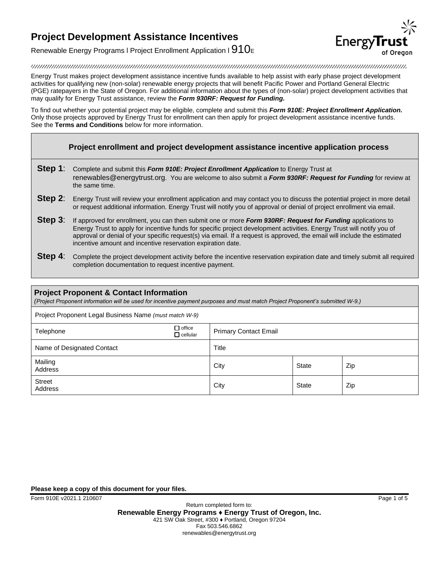

Renewable Energy Programs I Project Enrollment Application I  $910<sub>E</sub>$ 

Energy Trust makes project development assistance incentive funds available to help assist with early phase project development activities for qualifying new (non-solar) renewable energy projects that will benefit Pacific Power and Portland General Electric (PGE) ratepayers in the State of Oregon. For additional information about the types of (non-solar) project development activities that may qualify for Energy Trust assistance, review the *Form 930RF: Request for Funding.* 

To find out whether your potential project may be eligible, complete and submit this *Form 910E: Project Enrollment Application.* Only those projects approved by Energy Trust for enrollment can then apply for project development assistance incentive funds. See the **Terms and Conditions** below for more information.

### **Project enrollment and project development assistance incentive application process**

- **Step 1**: Complete and submit this *Form 910E: Project Enrollment Application* to Energy Trust at [renewables@energytrust.org](mailto:renewables@energytrust.org). You are welcome to also submit a *Form 930RF: Request for Funding* for review at the same time.
- **Step 2:** Energy Trust will review your enrollment application and may contact you to discuss the potential project in more detail or request additional information. Energy Trust will notify you of approval or denial of project enrollment via email.
- **Step 3**: If approved for enrollment, you can then submit one or more *Form 930RF: Request for Funding* applications to Energy Trust to apply for incentive funds for specific project development activities. Energy Trust will notify you of approval or denial of your specific request(s) via email. If a request is approved, the email will include the estimated incentive amount and incentive reservation expiration date.
- **Step 4:** Complete the project development activity before the incentive reservation expiration date and timely submit all required completion documentation to request incentive payment.

### **Project Proponent & Contact Information**  *(Project Proponent information will be used for incentive payment purposes and must match Project Proponent's submitted W-9.)* Project Proponent Legal Business Name *(must match W-9)* Telephone office Primary Contact Email Name of Designated Contact **Title** Mailing Malining State Trip and State and State and State and State Zip<br>Address Street Address and City City State Zip

**Please keep a copy of this document for your files.**

Form 910E v2021.1 210607 Page 1 of 5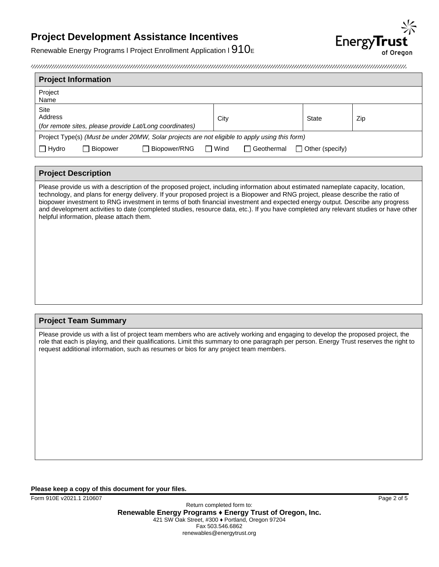

Renewable Energy Programs I Project Enrollment Application I  $910<sub>E</sub>$ 

| <b>Project Information</b>                                                                     |          |                    |        |      |                     |  |                        |     |
|------------------------------------------------------------------------------------------------|----------|--------------------|--------|------|---------------------|--|------------------------|-----|
| Project<br>Name                                                                                |          |                    |        |      |                     |  |                        |     |
| Site<br>Address<br>(for remote sites, please provide Lat/Long coordinates)                     |          |                    |        | City |                     |  | <b>State</b>           | Zip |
| Project Type(s) (Must be under 20MW, Solar projects are not eligible to apply using this form) |          |                    |        |      |                     |  |                        |     |
| $\Box$ Hydro                                                                                   | Biopower | Biopower/RNG<br>ΙI | $\Box$ | Wind | <b>□ Geothermal</b> |  | $\Box$ Other (specify) |     |

### **Project Description**

Please provide us with a description of the proposed project, including information about estimated nameplate capacity, location, technology, and plans for energy delivery. If your proposed project is a Biopower and RNG project, please describe the ratio of biopower investment to RNG investment in terms of both financial investment and expected energy output. Describe any progress and development activities to date (completed studies, resource data, etc.). If you have completed any relevant studies or have other helpful information, please attach them.

### **Project Team Summary**

Please provide us with a list of project team members who are actively working and engaging to develop the proposed project, the role that each is playing, and their qualifications. Limit this summary to one paragraph per person. Energy Trust reserves the right to request additional information, such as resumes or bios for any project team members.

#### **Please keep a copy of this document for your files.**

Form 910E v2021.1 210607 Page 2 of 5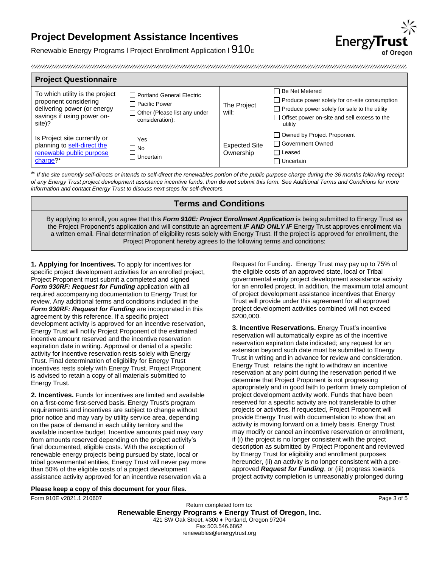

Renewable Energy Programs I Project Enrollment Application I  $910<sub>E</sub>$ 

| <b>Project Questionnaire</b>                                                                                                    |                                                                                                          |                                   |                                                                                                                                                                                                 |
|---------------------------------------------------------------------------------------------------------------------------------|----------------------------------------------------------------------------------------------------------|-----------------------------------|-------------------------------------------------------------------------------------------------------------------------------------------------------------------------------------------------|
| To which utility is the project<br>proponent considering<br>delivering power (or energy<br>savings if using power on-<br>site)? | □ Portland General Electric<br>□ Pacific Power<br>$\Box$ Other (Please list any under<br>consideration): | The Project<br>will:              | □ Be Net Metered<br>$\Box$ Produce power solely for on-site consumption<br>$\Box$ Produce power solely for sale to the utility<br>$\Box$ Offset power on-site and sell excess to the<br>utility |
| Is Project site currently or<br>planning to self-direct the<br>renewable public purpose<br>charge $?$ *                         | □ Yes<br>∩ No<br>□ Uncertain                                                                             | <b>Expected Site</b><br>Ownership | $\Box$ Owned by Project Proponent<br>□ Government Owned<br>l Leased<br>Uncertain                                                                                                                |

\* *If the site currently self-directs or intends to self-direct the renewables portion of the public purpose charge during the 36 months following receipt of any Energy Trust project development assistance incentive funds, then do not submit this form. See Additional Terms and Conditions for more information and contact Energy Trust to discuss next steps for self-directors.*

### **Terms and Conditions**

By applying to enroll, you agree that this *Form 910E: Project Enrollment Application* is being submitted to Energy Trust as the Project Proponent's application and will constitute an agreement *IF AND ONLY IF* Energy Trust approves enrollment via a written email*.* Final determination of eligibility rests solely with Energy Trust. If the project is approved for enrollment, the Project Proponent hereby agrees to the following terms and conditions:

**1. Applying for Incentives.** To apply for incentives for specific project development activities for an enrolled project, Project Proponent must submit a completed and signed *Form 930RF: Request for Funding* application with all required accompanying documentation to Energy Trust for review. Any additional terms and conditions included in the *Form 930RF: Request for Funding* are incorporated in this agreement by this reference. If a specific project development activity is approved for an incentive reservation, Energy Trust will notify Project Proponent of the estimated incentive amount reserved and the incentive reservation expiration date in writing. Approval or denial of a specific activity for incentive reservation rests solely with Energy Trust. Final determination of eligibility for Energy Trust incentives rests solely with Energy Trust. Project Proponent is advised to retain a copy of all materials submitted to Energy Trust.

**2. Incentives.** Funds for incentives are limited and available on a first-come first-served basis. Energy Trust's program requirements and incentives are subject to change without prior notice and may vary by utility service area, depending on the pace of demand in each utility territory and the available incentive budget. Incentive amounts paid may vary from amounts reserved depending on the project activity's final documented, eligible costs. With the exception of renewable energy projects being pursued by state, local or tribal governmental entities, Energy Trust will never pay more than 50% of the eligible costs of a project development assistance activity approved for an incentive reservation via a Request for Funding. Energy Trust may pay up to 75% of the eligible costs of an approved state, local or Tribal governmental entity project development assistance activity for an enrolled project. In addition, the maximum total amount of project development assistance incentives that Energy Trust will provide under this agreement for all approved project development activities combined will not exceed \$200,000.

**3. Incentive Reservations.** Energy Trust's incentive reservation will automatically expire as of the incentive reservation expiration date indicated; any request for an extension beyond such date must be submitted to Energy Trust in writing and in advance for review and consideration. Energy Trust retains the right to withdraw an incentive reservation at any point during the reservation period if we determine that Project Proponent is not progressing appropriately and in good faith to perform timely completion of project development activity work. Funds that have been reserved for a specific activity are not transferable to other projects or activities. If requested, Project Proponent will provide Energy Trust with documentation to show that an activity is moving forward on a timely basis. Energy Trust may modify or cancel an incentive reservation or enrollment, if (i) the project is no longer consistent with the project description as submitted by Project Proponent and reviewed by Energy Trust for eligibility and enrollment purposes hereunder, (ii) an activity is no longer consistent with a preapproved *Request for Funding*, or (iii) progress towards project activity completion is unreasonably prolonged during

**Please keep a copy of this document for your files.**

Form 910E v2021.1 210607 Page 3 of 5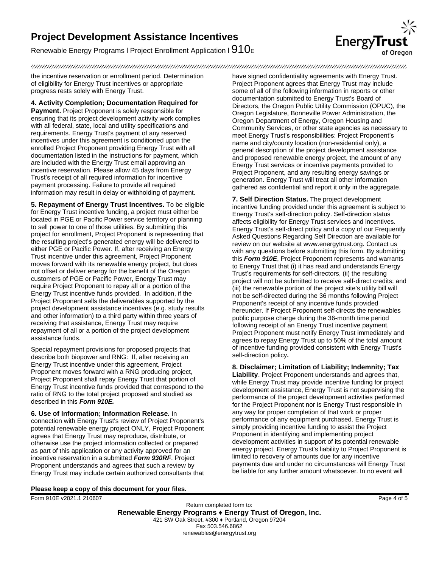Renewable Energy Programs I Project Enrollment Application I  $910<sub>E</sub>$ 



the incentive reservation or enrollment period. Determination of eligibility for Energy Trust incentives or appropriate progress rests solely with Energy Trust.

**4. Activity Completion; Documentation Required for Payment.** Project Proponent is solely responsible for ensuring that its project development activity work complies with all federal, state, local and utility specifications and requirements. Energy Trust's payment of any reserved incentives under this agreement is conditioned upon the enrolled Project Proponent providing Energy Trust with all documentation listed in the instructions for payment, which are included with the Energy Trust email approving an incentive reservation. Please allow 45 days from Energy Trust's receipt of all required information for incentive payment processing. Failure to provide all required information may result in delay or withholding of payment.

**5. Repayment of Energy Trust Incentives.** To be eligible for Energy Trust incentive funding, a project must either be located in PGE or Pacific Power service territory or planning to sell power to one of those utilities. By submitting this project for enrollment, Project Proponent is representing that the resulting project's generated energy will be delivered to either PGE or Pacific Power. If, after receiving an Energy Trust incentive under this agreement, Project Proponent moves forward with its renewable energy project, but does not offset or deliver energy for the benefit of the Oregon customers of PGE or Pacific Power, Energy Trust may require Project Proponent to repay all or a portion of the Energy Trust incentive funds provided. In addition, if the Project Proponent sells the deliverables supported by the project development assistance incentives (e.g. study results and other information) to a third party within three years of receiving that assistance, Energy Trust may require repayment of all or a portion of the project development assistance funds.

Special repayment provisions for proposed projects that describe both biopower and RNG: If, after receiving an Energy Trust incentive under this agreement, Project Proponent moves forward with a RNG producing project, Project Proponent shall repay Energy Trust that portion of Energy Trust incentive funds provided that correspond to the ratio of RNG to the total project proposed and studied as described in this *Form 910E.*

**6. Use of Information; Information Release.** In connection with Energy Trust's review of Project Proponent's potential renewable energy project ONLY, Project Proponent agrees that Energy Trust may reproduce, distribute, or otherwise use the project information collected or prepared as part of this application or any activity approved for an incentive reservation in a submitted *Form 930RF*. Project Proponent understands and agrees that such a review by Energy Trust may include certain authorized consultants that have signed confidentiality agreements with Energy Trust. Project Proponent agrees that Energy Trust may include some of all of the following information in reports or other documentation submitted to Energy Trust's Board of Directors, the Oregon Public Utility Commission (OPUC), the Oregon Legislature, Bonneville Power Administration, the Oregon Department of Energy, Oregon Housing and Community Services, or other state agencies as necessary to meet Energy Trust's responsibilities: Project Proponent's name and city/county location (non-residential only), a general description of the project development assistance and proposed renewable energy project, the amount of any Energy Trust services or incentive payments provided to Project Proponent, and any resulting energy savings or generation. Energy Trust will treat all other information gathered as confidential and report it only in the aggregate.

**7. Self Direction Status.** The project development incentive funding provided under this agreement is subject to Energy Trust's self-direction policy. Self-direction status affects eligibility for Energy Trust services and incentives. Energy Trust's self-direct policy and a copy of our Frequently Asked Questions Regarding Self Direction are available for review on our website a[t www.energytrust.org.](http://www.energytrust.org/) Contact us with any questions before submitting this form. By submitting this *Form 910E*, Project Proponent represents and warrants to Energy Trust that (i) it has read and understands Energy Trust's requirements for self-directors, (ii) the resulting project will not be submitted to receive self-direct credits; and (iii) the renewable portion of the project site's utility bill will not be self-directed during the 36 months following Project Proponent's receipt of any incentive funds provided hereunder. If Project Proponent self-directs the renewables public purpose charge during the 36-month time period following receipt of an Energy Trust incentive payment, Project Proponent must notify Energy Trust immediately and agrees to repay Energy Trust up to 50% of the total amount of incentive funding provided consistent with Energy Trust's self-direction policy**.**

**8. Disclaimer; Limitation of Liability; Indemnity; Tax Liability**. Project Proponent understands and agrees that, while Energy Trust may provide incentive funding for project development assistance, Energy Trust is not supervising the performance of the project development activities performed for the Project Proponent nor is Energy Trust responsible in any way for proper completion of that work or proper performance of any equipment purchased. Energy Trust is simply providing incentive funding to assist the Project Proponent in identifying and implementing project development activities in support of its potential renewable energy project. Energy Trust's liability to Project Proponent is limited to recovery of amounts due for any incentive payments due and under no circumstances will Energy Trust be liable for any further amount whatsoever. In no event will

#### **Please keep a copy of this document for your files.**

Form 910E v2021.1 210607 Page 4 of 5